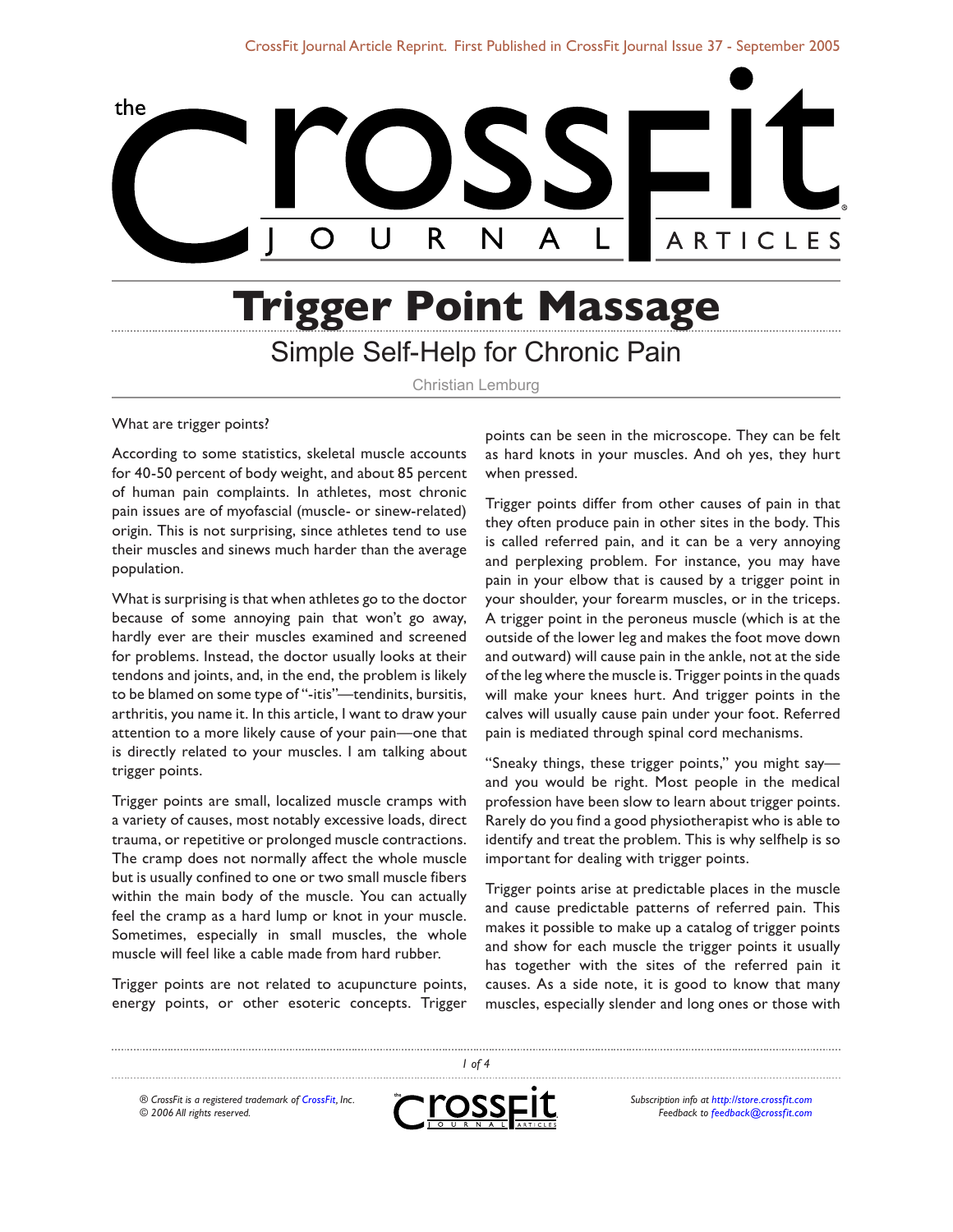

# **Trigger Point Massage** Simple Self-Help for Chronic Pain

Christian Lemburg

#### What are trigger points?

According to some statistics, skeletal muscle accounts for 40-50 percent of body weight, and about 85 percent of human pain complaints. In athletes, most chronic pain issues are of myofascial (muscle- or sinew-related) origin. This is not surprising, since athletes tend to use their muscles and sinews much harder than the average population.

What is surprising is that when athletes go to the doctor because of some annoying pain that won't go away, hardly ever are their muscles examined and screened for problems. Instead, the doctor usually looks at their tendons and joints, and, in the end, the problem is likely to be blamed on some type of "-itis"—tendinits, bursitis, arthritis, you name it. In this article, I want to draw your attention to a more likely cause of your pain—one that is directly related to your muscles. I am talking about trigger points.

Trigger points are small, localized muscle cramps with a variety of causes, most notably excessive loads, direct trauma, or repetitive or prolonged muscle contractions. The cramp does not normally affect the whole muscle but is usually confined to one or two small muscle fibers within the main body of the muscle. You can actually feel the cramp as a hard lump or knot in your muscle. Sometimes, especially in small muscles, the whole muscle will feel like a cable made from hard rubber.

Trigger points are not related to acupuncture points, energy points, or other esoteric concepts. Trigger

points can be seen in the microscope. They can be felt as hard knots in your muscles. And oh yes, they hurt when pressed.

Trigger points differ from other causes of pain in that they often produce pain in other sites in the body. This is called referred pain, and it can be a very annoying and perplexing problem. For instance, you may have pain in your elbow that is caused by a trigger point in your shoulder, your forearm muscles, or in the triceps. A trigger point in the peroneus muscle (which is at the outside of the lower leg and makes the foot move down and outward) will cause pain in the ankle, not at the side of the leg where the muscle is. Trigger points in the quads will make your knees hurt. And trigger points in the calves will usually cause pain under your foot. Referred pain is mediated through spinal cord mechanisms.

"Sneaky things, these trigger points," you might say and you would be right. Most people in the medical profession have been slow to learn about trigger points. Rarely do you find a good physiotherapist who is able to identify and treat the problem. This is why selfhelp is so important for dealing with trigger points.

Trigger points arise at predictable places in the muscle and cause predictable patterns of referred pain. This makes it possible to make up a catalog of trigger points and show for each muscle the trigger points it usually has together with the sites of the referred pain it causes. As a side note, it is good to know that many muscles, especially slender and long ones or those with

*® CrossFit is a registered trademark of [CrossFit,](http://www.crossfit.com) Inc. © 2006 All rights reserved.*



 *of 4*

*Subscription info at [http://store.crossfit.com](http://journal.crossfit.com) Feedback to [feedback@crossfit.com](mailto:feedback@crossfit.com)*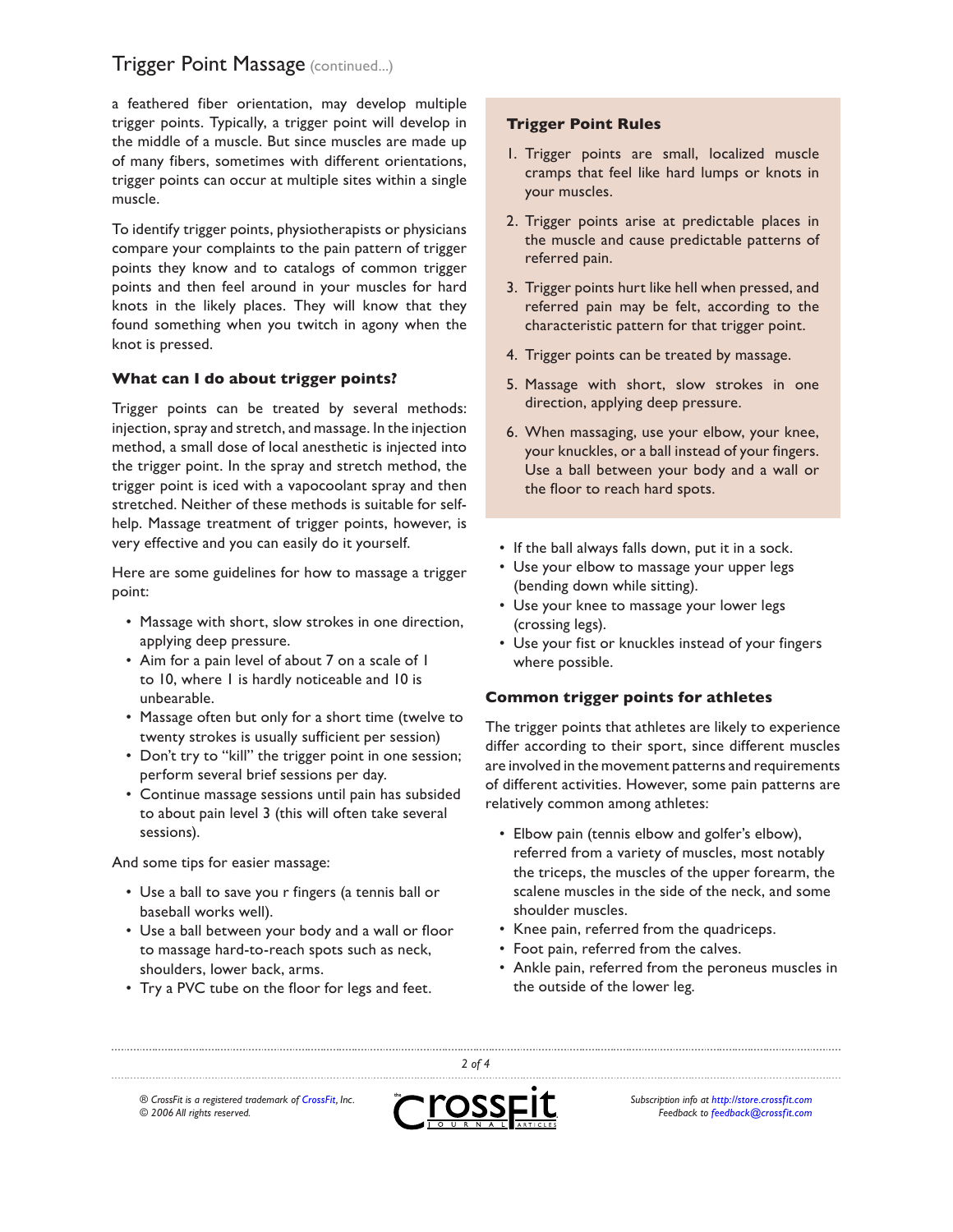## **Trigger Point Massage (continued...)**

a feathered fiber orientation, may develop multiple trigger points. Typically, a trigger point will develop in the middle of a muscle. But since muscles are made up of many fibers, sometimes with different orientations, trigger points can occur at multiple sites within a single muscle.

To identify trigger points, physiotherapists or physicians compare your complaints to the pain pattern of trigger points they know and to catalogs of common trigger points and then feel around in your muscles for hard knots in the likely places. They will know that they found something when you twitch in agony when the knot is pressed.

#### **What can I do about trigger points?**

Trigger points can be treated by several methods: injection, spray and stretch, and massage. In the injection method, a small dose of local anesthetic is injected into the trigger point. In the spray and stretch method, the trigger point is iced with a vapocoolant spray and then stretched. Neither of these methods is suitable for selfhelp. Massage treatment of trigger points, however, is very effective and you can easily do it yourself.

Here are some guidelines for how to massage a trigger point:

- Massage with short, slow strokes in one direction, applying deep pressure.
- Aim for a pain level of about 7 on a scale of 1 to 10, where 1 is hardly noticeable and 10 is unbearable.
- Massage often but only for a short time (twelve to twenty strokes is usually sufficient per session)
- Don't try to "kill" the trigger point in one session; perform several brief sessions per day.
- Continue massage sessions until pain has subsided to about pain level 3 (this will often take several sessions).

And some tips for easier massage:

- Use a ball to save you r fingers (a tennis ball or baseball works well).
- Use a ball between your body and a wall or floor to massage hard-to-reach spots such as neck, shoulders, lower back, arms.
- Try a PVC tube on the floor for legs and feet.

#### **Trigger Point Rules**

- 1. Trigger points are small, localized muscle cramps that feel like hard lumps or knots in your muscles.
- 2. Trigger points arise at predictable places in the muscle and cause predictable patterns of referred pain.
- 3. Trigger points hurt like hell when pressed, and referred pain may be felt, according to the characteristic pattern for that trigger point.
- 4. Trigger points can be treated by massage.
- 5. Massage with short, slow strokes in one direction, applying deep pressure.
- 6. When massaging, use your elbow, your knee, your knuckles, or a ball instead of your fingers. Use a ball between your body and a wall or the floor to reach hard spots.
- If the ball always falls down, put it in a sock.
- Use your elbow to massage your upper legs (bending down while sitting).
- Use your knee to massage your lower legs (crossing legs).
- Use your fist or knuckles instead of your fingers where possible.

#### **Common trigger points for athletes**

The trigger points that athletes are likely to experience differ according to their sport, since different muscles are involved in the movement patterns and requirements of different activities. However, some pain patterns are relatively common among athletes:

- Elbow pain (tennis elbow and golfer's elbow), referred from a variety of muscles, most notably the triceps, the muscles of the upper forearm, the scalene muscles in the side of the neck, and some shoulder muscles.
- Knee pain, referred from the quadriceps.
- Foot pain, referred from the calves.
- Ankle pain, referred from the peroneus muscles in the outside of the lower leg.

*® CrossFit is a registered trademark of [CrossFit,](http://www.crossfit.com) Inc. © 2006 All rights reserved.*



 *of 4*

*Subscription info at [http://store.crossfit.com](http://journal.crossfit.com) Feedback to [feedback@crossfit.com](mailto:feedback@crossfit.com)*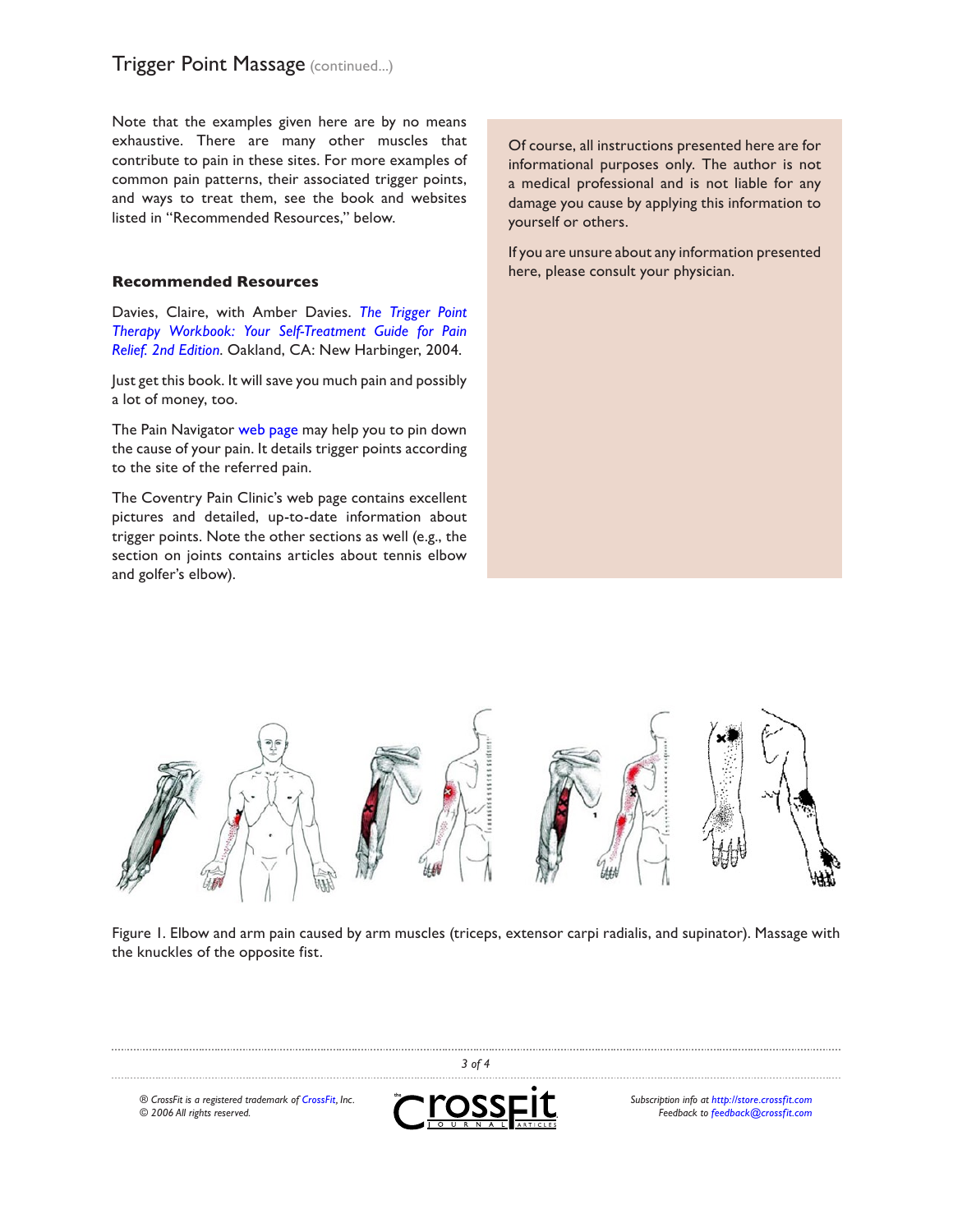### **Trigger Point Massage (continued...)**

Note that the examples given here are by no means exhaustive. There are many other muscles that contribute to pain in these sites. For more examples of common pain patterns, their associated trigger points, and ways to treat them, see the book and websites listed in "Recommended Resources," below.

#### **Recommended Resources**

Davies, Claire, with Amber Davies. *[The Trigger Point](http://www.triggerpointbook.com) [Therapy Workbook: Your Self-Treatment Guide for Pain](http://www.triggerpointbook.com) [Relief. 2nd Edition](http://www.triggerpointbook.com)*. Oakland, CA: New Harbinger, 2004.

Just get this book. It will save you much pain and possibly a lot of money, too.

The Pain Navigator [web page](http://altmed.iatp.org.ua/pain/maps/diagnosis.htm) may help you to pin down the cause of your pain. It details trigger points according to the site of the referred pain.

The [Coventry Pain Clinic's web page](http://www.coventrypainclinic.org.uk/musclepain-introduction.htm) contains excellent pictures and detailed, up-to-date information about trigger points. Note the other sections as well (e.g., the section on joints contains articles about tennis elbow and golfer's elbow).

Of course, all instructions presented here are for informational purposes only. The author is not a medical professional and is not liable for any damage you cause by applying this information to yourself or others.

If you are unsure about any information presented here, please consult your physician.



Figure 1. Elbow and arm pain caused by arm muscles (triceps, extensor carpi radialis, and supinator). Massage with the knuckles of the opposite fist.

 *of 4 ® CrossFit is a registered trademark of [CrossFit,](http://www.crossfit.com) Inc. Subscription info at [http://store.crossfit.com](http://journal.crossfit.com) Feedback to [feedback@crossfit.com](mailto:feedback@crossfit.com)*

*© 2006 All rights reserved.*